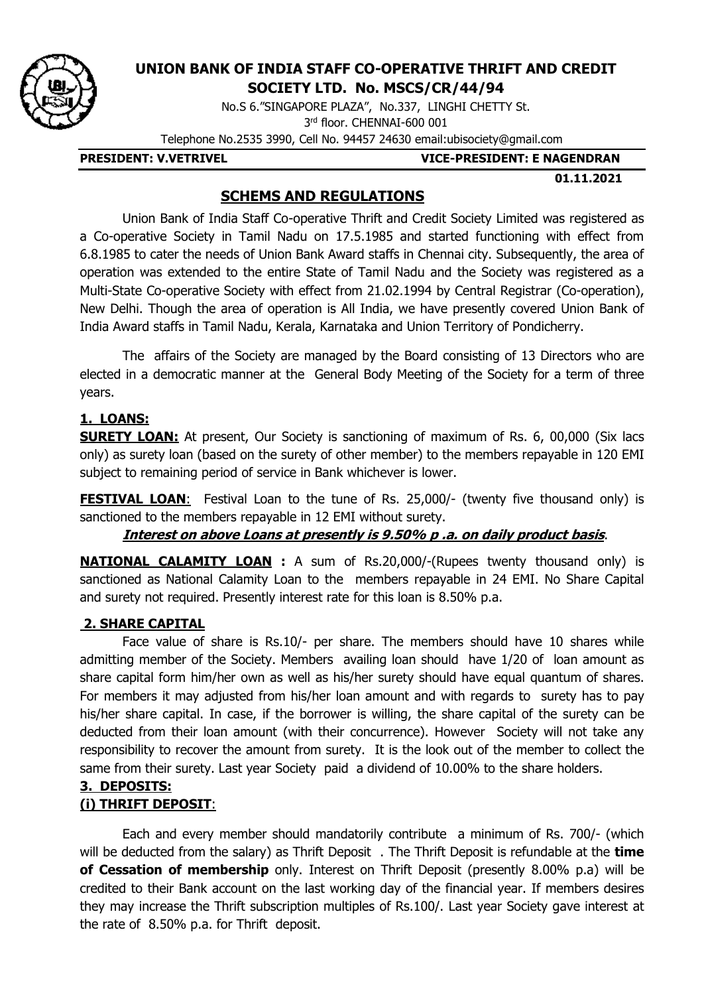

# **UNION BANK OF INDIA STAFF CO-OPERATIVE THRIFT AND CREDIT**

**SOCIETY LTD. No. MSCS/CR/44/94**

No.S 6."SINGAPORE PLAZA", No.337, LINGHI CHETTY St. 3 rd floor. CHENNAI-600 001

Telephone No.2535 3990, Cell No. 94457 24630 email:ubisociety@gmail.com

**PRESIDENT: V.VETRIVEL VICE-PRESIDENT: E NAGENDRAN**

 **01.11.2021**

## **SCHEMS AND REGULATIONS**

Union Bank of India Staff Co-operative Thrift and Credit Society Limited was registered as a Co-operative Society in Tamil Nadu on 17.5.1985 and started functioning with effect from 6.8.1985 to cater the needs of Union Bank Award staffs in Chennai city. Subsequently, the area of operation was extended to the entire State of Tamil Nadu and the Society was registered as a Multi-State Co-operative Society with effect from 21.02.1994 by Central Registrar (Co-operation), New Delhi. Though the area of operation is All India, we have presently covered Union Bank of India Award staffs in Tamil Nadu, Kerala, Karnataka and Union Territory of Pondicherry.

The affairs of the Society are managed by the Board consisting of 13 Directors who are elected in a democratic manner at the General Body Meeting of the Society for a term of three years.

# **1. LOANS:**

**SURETY LOAN:** At present, Our Society is sanctioning of maximum of Rs. 6, 00,000 (Six lacs only) as surety loan (based on the surety of other member) to the members repayable in 120 EMI subject to remaining period of service in Bank whichever is lower.

**FESTIVAL LOAN:** Festival Loan to the tune of Rs. 25,000/- (twenty five thousand only) is sanctioned to the members repayable in 12 EMI without surety.

**Interest on above Loans at presently is 9.50% p .a. on daily product basis**.

**NATIONAL CALAMITY LOAN :** A sum of Rs.20,000/-(Rupees twenty thousand only) is sanctioned as National Calamity Loan to the members repayable in 24 EMI. No Share Capital and surety not required. Presently interest rate for this loan is 8.50% p.a.

# **2. SHARE CAPITAL**

Face value of share is Rs.10/- per share. The members should have 10 shares while admitting member of the Society. Members availing loan should have 1/20 of loan amount as share capital form him/her own as well as his/her surety should have equal quantum of shares. For members it may adjusted from his/her loan amount and with regards to surety has to pay his/her share capital. In case, if the borrower is willing, the share capital of the surety can be deducted from their loan amount (with their concurrence). However Society will not take any responsibility to recover the amount from surety. It is the look out of the member to collect the same from their surety. Last year Society paid a dividend of 10.00% to the share holders.

## **3. DEPOSITS: (i) THRIFT DEPOSIT**:

Each and every member should mandatorily contribute a minimum of Rs. 700/- (which will be deducted from the salary) as Thrift Deposit . The Thrift Deposit is refundable at the **time of Cessation of membership** only. Interest on Thrift Deposit (presently 8.00% p.a) will be credited to their Bank account on the last working day of the financial year. If members desires they may increase the Thrift subscription multiples of Rs.100/. Last year Society gave interest at the rate of 8.50% p.a. for Thrift deposit.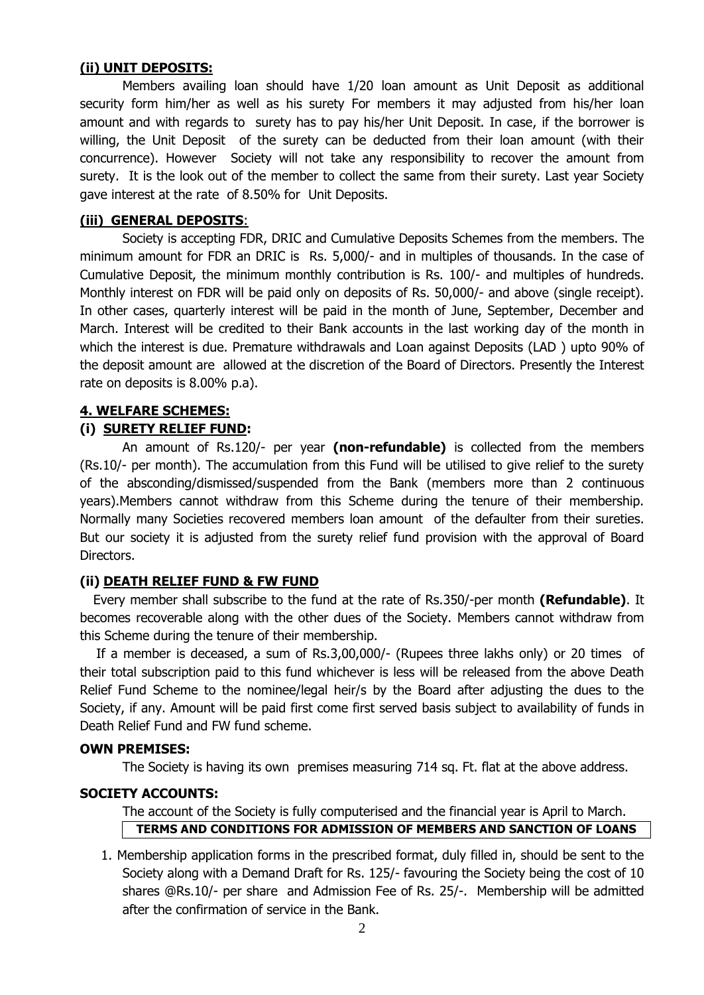#### **(ii) UNIT DEPOSITS:**

Members availing loan should have 1/20 loan amount as Unit Deposit as additional security form him/her as well as his surety For members it may adjusted from his/her loan amount and with regards to surety has to pay his/her Unit Deposit. In case, if the borrower is willing, the Unit Deposit of the surety can be deducted from their loan amount (with their concurrence). However Society will not take any responsibility to recover the amount from surety. It is the look out of the member to collect the same from their surety. Last year Society gave interest at the rate of 8.50% for Unit Deposits.

#### **(iii) GENERAL DEPOSITS**:

Society is accepting FDR, DRIC and Cumulative Deposits Schemes from the members. The minimum amount for FDR an DRIC is Rs. 5,000/- and in multiples of thousands. In the case of Cumulative Deposit, the minimum monthly contribution is Rs. 100/- and multiples of hundreds. Monthly interest on FDR will be paid only on deposits of Rs. 50,000/- and above (single receipt). In other cases, quarterly interest will be paid in the month of June, September, December and March. Interest will be credited to their Bank accounts in the last working day of the month in which the interest is due. Premature withdrawals and Loan against Deposits (LAD ) upto 90% of the deposit amount are allowed at the discretion of the Board of Directors. Presently the Interest rate on deposits is 8.00% p.a).

#### **4. WELFARE SCHEMES:**

#### **(i) SURETY RELIEF FUND:**

An amount of Rs.120/- per year **(non-refundable)** is collected from the members (Rs.10/- per month). The accumulation from this Fund will be utilised to give relief to the surety of the absconding/dismissed/suspended from the Bank (members more than 2 continuous years).Members cannot withdraw from this Scheme during the tenure of their membership. Normally many Societies recovered members loan amount of the defaulter from their sureties. But our society it is adjusted from the surety relief fund provision with the approval of Board Directors.

#### **(ii) DEATH RELIEF FUND & FW FUND**

Every member shall subscribe to the fund at the rate of Rs.350/-per month **(Refundable)**. It becomes recoverable along with the other dues of the Society. Members cannot withdraw from this Scheme during the tenure of their membership.

 If a member is deceased, a sum of Rs.3,00,000/- (Rupees three lakhs only) or 20 times of their total subscription paid to this fund whichever is less will be released from the above Death Relief Fund Scheme to the nominee/legal heir/s by the Board after adjusting the dues to the Society, if any. Amount will be paid first come first served basis subject to availability of funds in Death Relief Fund and FW fund scheme.

#### **OWN PREMISES:**

The Society is having its own premises measuring 714 sq. Ft. flat at the above address.

#### **SOCIETY ACCOUNTS:**

The account of the Society is fully computerised and the financial year is April to March. **TERMS AND CONDITIONS FOR ADMISSION OF MEMBERS AND SANCTION OF LOANS**

1. Membership application forms in the prescribed format, duly filled in, should be sent to the Society along with a Demand Draft for Rs. 125/- favouring the Society being the cost of 10 shares @Rs.10/- per share and Admission Fee of Rs. 25/-. Membership will be admitted after the confirmation of service in the Bank.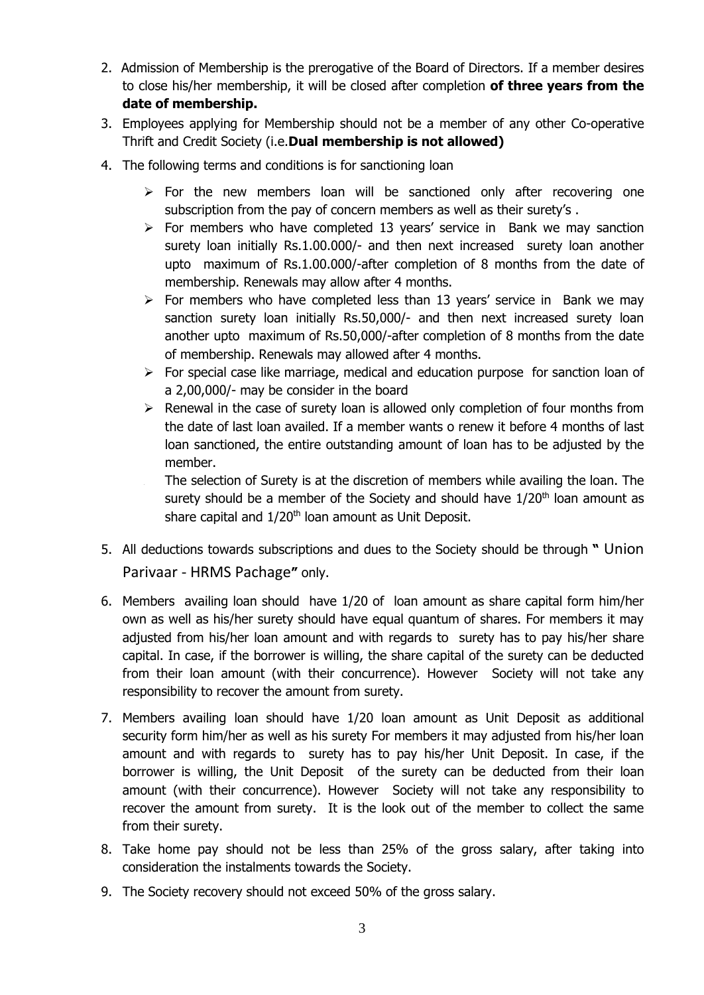- 2. Admission of Membership is the prerogative of the Board of Directors. If a member desires to close his/her membership, it will be closed after completion **of three years from the date of membership.**
- 3. Employees applying for Membership should not be a member of any other Co-operative Thrift and Credit Society (i.e.**Dual membership is not allowed)**
- 4. The following terms and conditions is for sanctioning loan
	- $\triangleright$  For the new members loan will be sanctioned only after recovering one subscription from the pay of concern members as well as their surety's .
	- $\triangleright$  For members who have completed 13 years' service in Bank we may sanction surety loan initially Rs.1.00.000/- and then next increased surety loan another upto maximum of Rs.1.00.000/-after completion of 8 months from the date of membership. Renewals may allow after 4 months.
	- $\triangleright$  For members who have completed less than 13 years' service in Bank we may sanction surety loan initially Rs.50,000/- and then next increased surety loan another upto maximum of Rs.50,000/-after completion of 8 months from the date of membership. Renewals may allowed after 4 months.
	- $\triangleright$  For special case like marriage, medical and education purpose for sanction loan of a 2,00,000/- may be consider in the board
	- $\triangleright$  Renewal in the case of surety loan is allowed only completion of four months from the date of last loan availed. If a member wants o renew it before 4 months of last loan sanctioned, the entire outstanding amount of loan has to be adjusted by the member.
		- The selection of Surety is at the discretion of members while availing the loan. The surety should be a member of the Society and should have  $1/20<sup>th</sup>$  loan amount as share capital and 1/20<sup>th</sup> loan amount as Unit Deposit.
- 5. All deductions towards subscriptions and dues to the Society should be through **"** Union Parivaar - HRMS Pachage**"** only.
- 6. Members availing loan should have 1/20 of loan amount as share capital form him/her own as well as his/her surety should have equal quantum of shares. For members it may adjusted from his/her loan amount and with regards to surety has to pay his/her share capital. In case, if the borrower is willing, the share capital of the surety can be deducted from their loan amount (with their concurrence). However Society will not take any responsibility to recover the amount from surety.
- 7. Members availing loan should have 1/20 loan amount as Unit Deposit as additional security form him/her as well as his surety For members it may adjusted from his/her loan amount and with regards to surety has to pay his/her Unit Deposit. In case, if the borrower is willing, the Unit Deposit of the surety can be deducted from their loan amount (with their concurrence). However Society will not take any responsibility to recover the amount from surety. It is the look out of the member to collect the same from their surety.
- 8. Take home pay should not be less than 25% of the gross salary, after taking into consideration the instalments towards the Society.
- 9. The Society recovery should not exceed 50% of the gross salary.